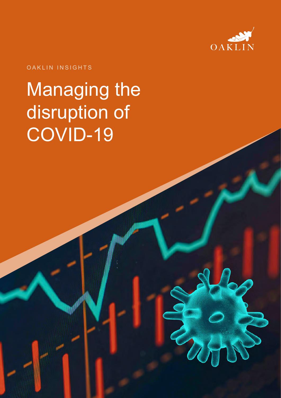

#### OAKLIN INSIGHTS

# Managing the disruption of COVID-19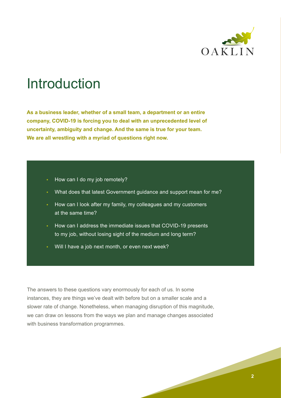

### Introduction

**As a business leader, whether of a small team, a department or an entire company, COVID-19 is forcing you to deal with an unprecedented level of uncertainty, ambiguity and change. And the same is true for your team. We are all wrestling with a myriad of questions right now.** 

#### • How can I do my job remotely?

- What does that latest Government guidance and support mean for me?
- How can I look after my family, my colleagues and my customers at the same time?
- How can I address the immediate issues that COVID-19 presents to my job, without losing sight of the medium and long term?
- Will I have a job next month, or even next week?

The answers to these questions vary enormously for each of us. In some instances, they are things we've dealt with before but on a smaller scale and a slower rate of change. Nonetheless, when managing disruption of this magnitude, we can draw on lessons from the ways we plan and manage changes associated with business transformation programmes.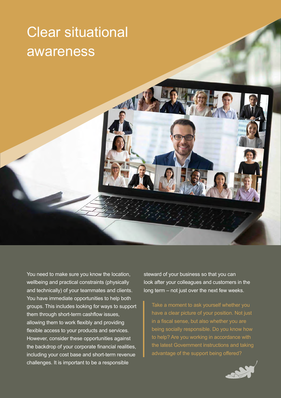### Clear situational awareness

You need to make sure you know the location, wellbeing and practical constraints (physically and technically) of your teammates and clients. You have immediate opportunities to help both groups. This includes looking for ways to support them through short-term cashflow issues, allowing them to work flexibly and providing flexible access to your products and services. However, consider these opportunities against the backdrop of your corporate financial realities, including your cost base and short-term revenue challenges. It is important to be a responsible

steward of your business so that you can look after your colleagues and customers in the long term – not just over the next few weeks.

Take a moment to ask yourself whether you have a clear picture of your position. Not just in a fiscal sense, but also whether you are being socially responsible. Do you know how to help? Are you working in accordance with the latest Government instructions and taking advantage of the support being offered?

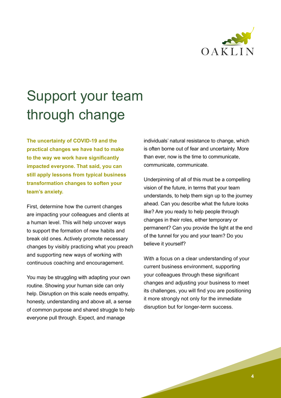

# Support your team through change

**The uncertainty of COVID-19 and the practical changes we have had to make to the way we work have significantly impacted everyone. That said, you can still apply lessons from typical business transformation changes to soften your team's anxiety.** 

First, determine how the current changes are impacting your colleagues and clients at a human level. This will help uncover ways to support the formation of new habits and break old ones. Actively promote necessary changes by visibly practicing what you preach and supporting new ways of working with continuous coaching and encouragement.

You may be struggling with adapting your own routine. Showing your human side can only help. Disruption on this scale needs empathy, honesty, understanding and above all, a sense of common purpose and shared struggle to help everyone pull through. Expect, and manage

individuals' natural resistance to change, which is often borne out of fear and uncertainty. More than ever, now is the time to communicate, communicate, communicate.

Underpinning of all of this must be a compelling vision of the future, in terms that your team understands, to help them sign up to the journey ahead. Can you describe what the future looks like? Are you ready to help people through changes in their roles, either temporary or permanent? Can you provide the light at the end of the tunnel for you and your team? Do you believe it yourself?

With a focus on a clear understanding of your current business environment, supporting your colleagues through these significant changes and adjusting your business to meet its challenges, you will find you are positioning it more strongly not only for the immediate disruption but for longer-term success.

**4**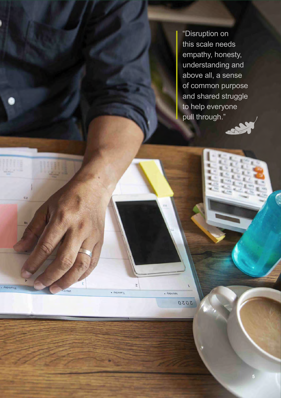"Disruption on this scale needs empathy, honesty, understanding and above all, a sense of common purpose and shared struggle to help everyone pull through."

 $\mathsf S$ 

Wonday .

2020

 $\overline{\text{Kepson}}$ 

sa

- Kepsinul

 $\overline{\mathsf{M}}$ 



**5 5**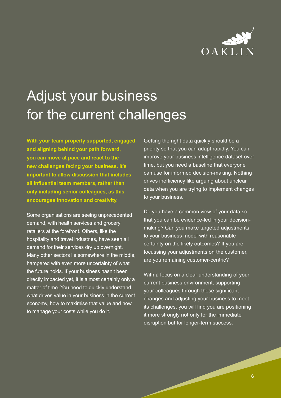

## Adjust your business for the current challenges

**With your team properly supported, engaged and aligning behind your path forward, you can move at pace and react to the new challenges facing your business. It's important to allow discussion that includes all influential team members, rather than only including senior colleagues, as this encourages innovation and creativity.** 

Some organisations are seeing unprecedented demand, with health services and grocery retailers at the forefront. Others, like the hospitality and travel industries, have seen all demand for their services dry up overnight. Many other sectors lie somewhere in the middle, hampered with even more uncertainty of what the future holds. If your business hasn't been directly impacted yet, it is almost certainly only a matter of time. You need to quickly understand what drives value in your business in the current economy, how to maximise that value and how to manage your costs while you do it.

Getting the right data quickly should be a priority so that you can adapt rapidly. You can improve your business intelligence dataset over time, but you need a baseline that everyone can use for informed decision-making. Nothing drives inefficiency like arguing about unclear data when you are trying to implement changes to your business.

Do you have a common view of your data so that you can be evidence-led in your decisionmaking? Can you make targeted adjustments to your business model with reasonable certainty on the likely outcomes? If you are focussing your adjustments on the customer, are you remaining customer-centric?

With a focus on a clear understanding of your current business environment, supporting your colleagues through these significant changes and adjusting your business to meet its challenges, you will find you are positioning it more strongly not only for the immediate disruption but for longer-term success.